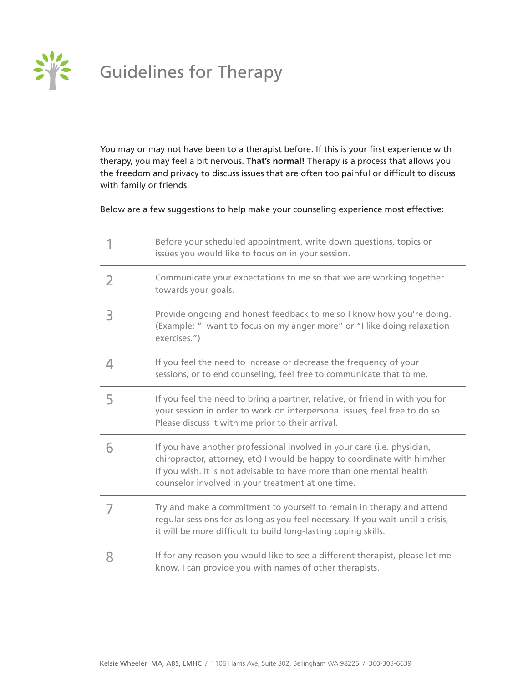

# Guidelines for Therapy

You may or may not have been to a therapist before. If this is your first experience with therapy, you may feel a bit nervous. **That's normal!** Therapy is a process that allows you the freedom and privacy to discuss issues that are often too painful or difficult to discuss with family or friends.

### Below are a few suggestions to help make your counseling experience most effective:

|   | Before your scheduled appointment, write down questions, topics or<br>issues you would like to focus on in your session.                                                                                                                                                         |
|---|----------------------------------------------------------------------------------------------------------------------------------------------------------------------------------------------------------------------------------------------------------------------------------|
| 2 | Communicate your expectations to me so that we are working together<br>towards your goals.                                                                                                                                                                                       |
| 3 | Provide ongoing and honest feedback to me so I know how you're doing.<br>(Example: "I want to focus on my anger more" or "I like doing relaxation<br>exercises.")                                                                                                                |
| 4 | If you feel the need to increase or decrease the frequency of your<br>sessions, or to end counseling, feel free to communicate that to me.                                                                                                                                       |
| 5 | If you feel the need to bring a partner, relative, or friend in with you for<br>your session in order to work on interpersonal issues, feel free to do so.<br>Please discuss it with me prior to their arrival.                                                                  |
| 6 | If you have another professional involved in your care (i.e. physician,<br>chiropractor, attorney, etc) I would be happy to coordinate with him/her<br>if you wish. It is not advisable to have more than one mental health<br>counselor involved in your treatment at one time. |
| 7 | Try and make a commitment to yourself to remain in therapy and attend<br>regular sessions for as long as you feel necessary. If you wait until a crisis,<br>it will be more difficult to build long-lasting coping skills.                                                       |
| 8 | If for any reason you would like to see a different therapist, please let me<br>know. I can provide you with names of other therapists.                                                                                                                                          |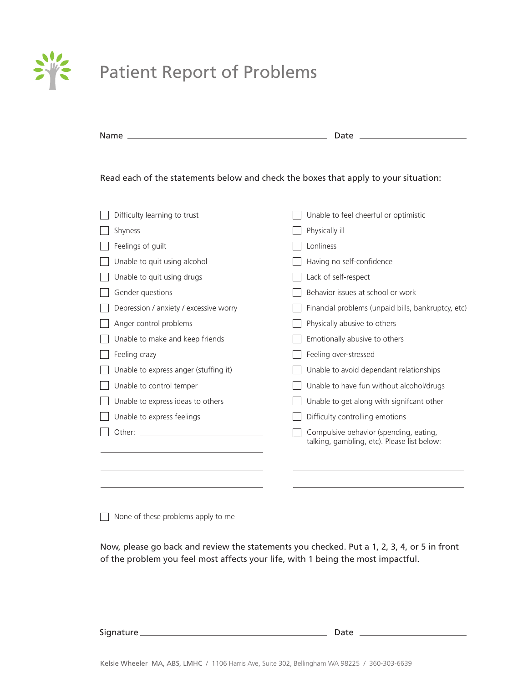

# Patient Report of Problems

| Name                                                                                | Date                                               |
|-------------------------------------------------------------------------------------|----------------------------------------------------|
| Read each of the statements below and check the boxes that apply to your situation: |                                                    |
| Difficulty learning to trust                                                        | Unable to feel cheerful or optimistic              |
| Shyness                                                                             | Physically ill                                     |
| Feelings of guilt                                                                   | Lonliness                                          |
| Unable to quit using alcohol                                                        | Having no self-confidence                          |
| Unable to quit using drugs                                                          | Lack of self-respect                               |
| Gender questions                                                                    | Behavior issues at school or work                  |
| Depression / anxiety / excessive worry                                              | Financial problems (unpaid bills, bankruptcy, etc) |
| Anger control problems                                                              | Physically abusive to others                       |
| Unable to make and keep friends                                                     | Emotionally abusive to others                      |
| Feeling crazy                                                                       | Feeling over-stressed                              |
| Unable to express anger (stuffing it)                                               | Unable to avoid dependant relationships            |
| Unable to control temper                                                            | Unable to have fun without alcohol/drugs           |
| Unable to express ideas to others                                                   | Unable to get along with signifcant other          |
| Unable to express feelings                                                          | Difficulty controlling emotions                    |
| Other: $\overline{\phantom{a}}$                                                     | Compulsive behavior (spending, eating,             |
|                                                                                     | talking, gambling, etc). Please list below:        |
|                                                                                     |                                                    |
| None of these problems apply to me                                                  |                                                    |

Now, please go back and review the statements you checked. Put a 1, 2, 3, 4, or 5 in front of the problem you feel most affects your life, with 1 being the most impactful.

Signature Date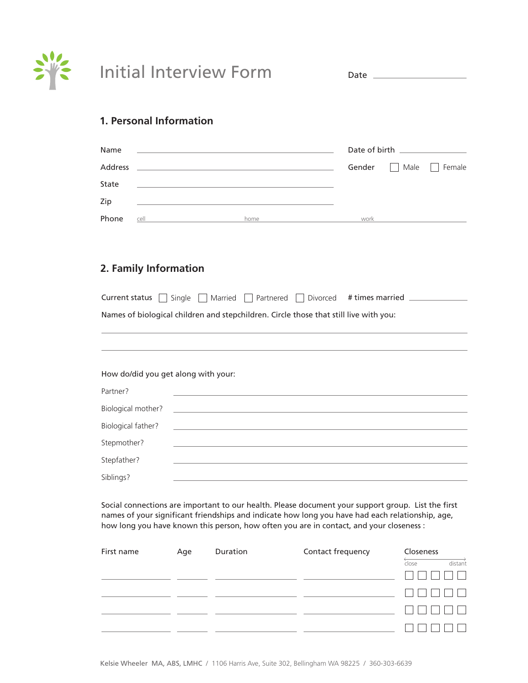

Date

### **1. Personal Information**

| Name    |      |      |        | Date of birth <b>notational contract of birth</b> |
|---------|------|------|--------|---------------------------------------------------|
| Address |      |      | Gender | Male Female                                       |
| State   |      |      |        |                                                   |
| Zip     |      |      |        |                                                   |
| Phone   | cell | home | work   |                                                   |

## **2. Family Information**

| Current status $\Box$ Single $\Box$ Married $\Box$ Partnered $\Box$ Divorced # times married $\Box$ |                                                             |  |  |  |
|-----------------------------------------------------------------------------------------------------|-------------------------------------------------------------|--|--|--|
| Names of biological children and stepchildren. Circle those that still live with you:               |                                                             |  |  |  |
|                                                                                                     |                                                             |  |  |  |
|                                                                                                     |                                                             |  |  |  |
| How do/did you get along with your:                                                                 |                                                             |  |  |  |
| Partner?                                                                                            |                                                             |  |  |  |
| Biological mother?                                                                                  | <u> 1989 - Andrea Stadt Britain, amerikansk politiker (</u> |  |  |  |
| Biological father?                                                                                  |                                                             |  |  |  |
| Stepmother?                                                                                         |                                                             |  |  |  |
| Stepfather?                                                                                         |                                                             |  |  |  |
| Siblings?                                                                                           |                                                             |  |  |  |

Social connections are important to our health. Please document your support group. List the first names of your significant friendships and indicate how long you have had each relationship, age, how long you have known this person, how often you are in contact, and your closeness :

| First name | Age | Duration | Contact frequency | Closeness        |
|------------|-----|----------|-------------------|------------------|
|            |     |          |                   | distant<br>close |
|            |     |          |                   |                  |
|            |     |          |                   |                  |
|            |     |          |                   |                  |
|            |     |          |                   |                  |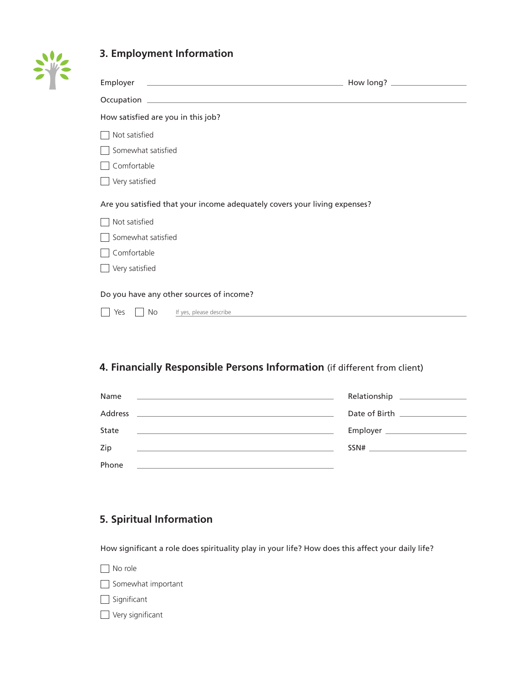

# **3. Employment Information**

| Employer                                                                                                                                                |  |
|---------------------------------------------------------------------------------------------------------------------------------------------------------|--|
|                                                                                                                                                         |  |
| How satisfied are you in this job?                                                                                                                      |  |
| Not satisfied                                                                                                                                           |  |
| Somewhat satisfied                                                                                                                                      |  |
| Comfortable                                                                                                                                             |  |
| Very satisfied                                                                                                                                          |  |
| Are you satisfied that your income adequately covers your living expenses?                                                                              |  |
| Not satisfied                                                                                                                                           |  |
| Somewhat satisfied                                                                                                                                      |  |
| Comfortable                                                                                                                                             |  |
| Very satisfied                                                                                                                                          |  |
| Do you have any other sources of income?<br>Yes<br>No<br>If yes, please describe<br>the contract of the contract of the contract of the contract of the |  |

# **4. Financially Responsible Persons Information** (if different from client)

| Name<br><u> 1990 - Jan Salaman Salaman (j. 1980)</u>                                                                                                                                                                                          | Relationship ____________________                                                                                                                                                                                                                                                                                                                             |
|-----------------------------------------------------------------------------------------------------------------------------------------------------------------------------------------------------------------------------------------------|---------------------------------------------------------------------------------------------------------------------------------------------------------------------------------------------------------------------------------------------------------------------------------------------------------------------------------------------------------------|
| Address<br><u> 1989 - Andrea San Andrea (1989), ann an t-Aonaichte ann an t-Aonaichte ann an t-Aonaichte ann an t-Aonaichte a</u>                                                                                                             | Date of Birth <b>Exercise 1996</b>                                                                                                                                                                                                                                                                                                                            |
| State<br><u>state and the state of the state of the state of the state of the state of the state of the state of the state of the state of the state of the state of the state of the state of the state of the state of the state of the</u> |                                                                                                                                                                                                                                                                                                                                                               |
| Zip<br><u> 1989 - Johann Stoff, amerikansk politiker (* 1908)</u>                                                                                                                                                                             | $SSN# \begin{tabular}{c} \hline \rule{0.3cm}{0.4cm} \rule{0.3cm}{0.4cm} \rule{0.3cm}{0.4cm} \rule{0.3cm}{0.4cm} \rule{0.3cm}{0.4cm} \rule{0.3cm}{0.4cm} \rule{0.3cm}{0.4cm} \rule{0.3cm}{0.4cm} \rule{0.3cm}{0.4cm} \rule{0.3cm}{0.4cm} \rule{0.3cm}{0.4cm} \rule{0.3cm}{0.4cm} \rule{0.3cm}{0.4cm} \rule{0.3cm}{0.4cm} \rule{0.3cm}{0.4cm} \rule{0.3cm}{0.4$ |
| Phone<br>and the contract of the contract of the contract of the contract of the contract of the contract of the contract of                                                                                                                  |                                                                                                                                                                                                                                                                                                                                                               |

# **5. Spiritual Information**

How significant a role does spirituality play in your life? How does this affect your daily life?

| No role                 |
|-------------------------|
| Somewhat important      |
| $\Box$ Significant      |
| $\Box$ Very significant |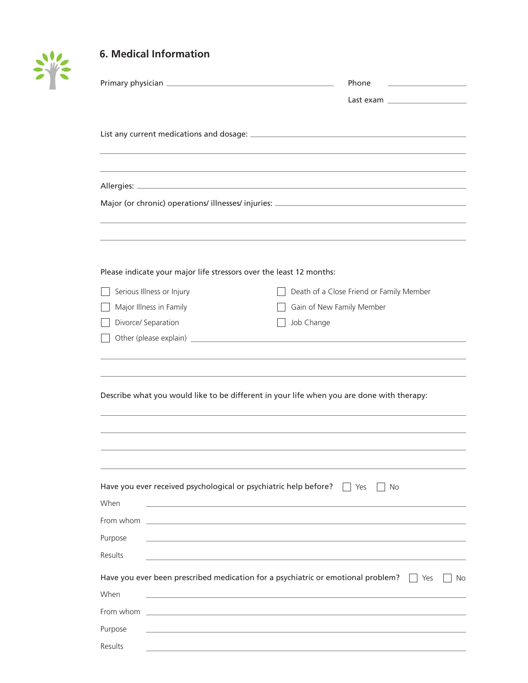

# **6. Medical Information**

|                                                                          | Phone                                                                                                          |  |
|--------------------------------------------------------------------------|----------------------------------------------------------------------------------------------------------------|--|
|                                                                          | Last example and the control of the control of the control of the control of the control of the control of the |  |
|                                                                          |                                                                                                                |  |
|                                                                          |                                                                                                                |  |
|                                                                          |                                                                                                                |  |
| Please indicate your major life stressors over the least 12 months:      |                                                                                                                |  |
| Serious Illness or Injury                                                | Death of a Close Friend or Family Member                                                                       |  |
| Major Illness in Family                                                  | Gain of New Family Member                                                                                      |  |
| Divorce/ Separation                                                      | Job Change                                                                                                     |  |
|                                                                          |                                                                                                                |  |
|                                                                          | Describe what you would like to be different in your life when you are done with therapy:                      |  |
| Have you ever received psychological or psychiatric help before?<br>When | $\Box$ Yes<br>No                                                                                               |  |
| From whom _                                                              |                                                                                                                |  |
| Purpose<br>Results                                                       |                                                                                                                |  |
| When                                                                     | Have you ever been prescribed medication for a psychiatric or emotional problem?<br>Yes<br>No                  |  |
| From whom                                                                |                                                                                                                |  |
| Purpose                                                                  |                                                                                                                |  |
| Results                                                                  |                                                                                                                |  |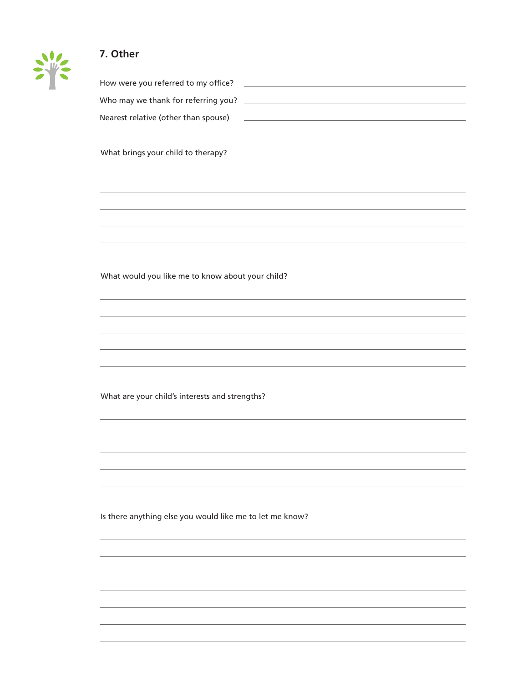## **7. Other**

| How were you referred to my office?  |  |
|--------------------------------------|--|
| Who may we thank for referring you?  |  |
| Nearest relative (other than spouse) |  |

What brings your child to therapy?

What would you like me to know about your child?

What are your child's interests and strengths?

Is there anything else you would like me to let me know?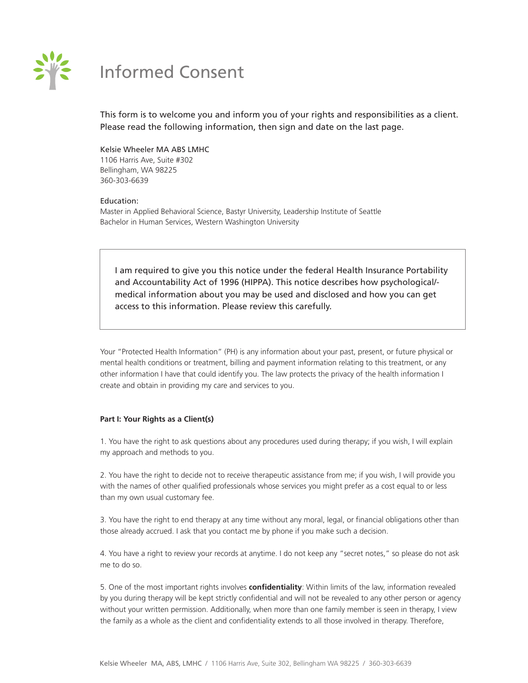

# Informed Consent

This form is to welcome you and inform you of your rights and responsibilities as a client. Please read the following information, then sign and date on the last page.

Kelsie Wheeler MA ABS LMHC 1106 Harris Ave, Suite #302 Bellingham, WA 98225 360-303-6639

### Education:

Master in Applied Behavioral Science, Bastyr University, Leadership Institute of Seattle Bachelor in Human Services, Western Washington University

I am required to give you this notice under the federal Health Insurance Portability and Accountability Act of 1996 (HIPPA). This notice describes how psychological/ medical information about you may be used and disclosed and how you can get access to this information. Please review this carefully.

Your "Protected Health Information" (PH) is any information about your past, present, or future physical or mental health conditions or treatment, billing and payment information relating to this treatment, or any other information I have that could identify you. The law protects the privacy of the health information I create and obtain in providing my care and services to you.

### **Part I: Your Rights as a Client(s)**

1. You have the right to ask questions about any procedures used during therapy; if you wish, I will explain my approach and methods to you.

2. You have the right to decide not to receive therapeutic assistance from me; if you wish, I will provide you with the names of other qualified professionals whose services you might prefer as a cost equal to or less than my own usual customary fee.

3. You have the right to end therapy at any time without any moral, legal, or financial obligations other than those already accrued. I ask that you contact me by phone if you make such a decision.

4. You have a right to review your records at anytime. I do not keep any "secret notes," so please do not ask me to do so.

5. One of the most important rights involves **confidentiality**: Within limits of the law, information revealed by you during therapy will be kept strictly confidential and will not be revealed to any other person or agency without your written permission. Additionally, when more than one family member is seen in therapy, I view the family as a whole as the client and confidentiality extends to all those involved in therapy. Therefore,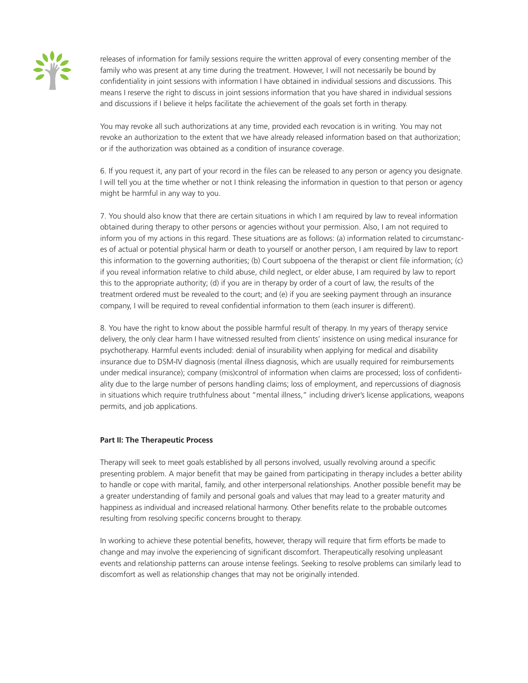

releases of information for family sessions require the written approval of every consenting member of the family who was present at any time during the treatment. However, I will not necessarily be bound by confidentiality in joint sessions with information I have obtained in individual sessions and discussions. This means I reserve the right to discuss in joint sessions information that you have shared in individual sessions and discussions if I believe it helps facilitate the achievement of the goals set forth in therapy.

You may revoke all such authorizations at any time, provided each revocation is in writing. You may not revoke an authorization to the extent that we have already released information based on that authorization; or if the authorization was obtained as a condition of insurance coverage.

6. If you request it, any part of your record in the files can be released to any person or agency you designate. I will tell you at the time whether or not I think releasing the information in question to that person or agency might be harmful in any way to you.

7. You should also know that there are certain situations in which I am required by law to reveal information obtained during therapy to other persons or agencies without your permission. Also, I am not required to inform you of my actions in this regard. These situations are as follows: (a) information related to circumstances of actual or potential physical harm or death to yourself or another person, I am required by law to report this information to the governing authorities; (b) Court subpoena of the therapist or client file information; (c) if you reveal information relative to child abuse, child neglect, or elder abuse, I am required by law to report this to the appropriate authority; (d) if you are in therapy by order of a court of law, the results of the treatment ordered must be revealed to the court; and (e) if you are seeking payment through an insurance company, I will be required to reveal confidential information to them (each insurer is different).

8. You have the right to know about the possible harmful result of therapy. In my years of therapy service delivery, the only clear harm I have witnessed resulted from clients' insistence on using medical insurance for psychotherapy. Harmful events included: denial of insurability when applying for medical and disability insurance due to DSM-IV diagnosis (mental illness diagnosis, which are usually required for reimbursements under medical insurance); company (mis)control of information when claims are processed; loss of confidentiality due to the large number of persons handling claims; loss of employment, and repercussions of diagnosis in situations which require truthfulness about "mental illness," including driver's license applications, weapons permits, and job applications.

### **Part II: The Therapeutic Process**

Therapy will seek to meet goals established by all persons involved, usually revolving around a specific presenting problem. A major benefit that may be gained from participating in therapy includes a better ability to handle or cope with marital, family, and other interpersonal relationships. Another possible benefit may be a greater understanding of family and personal goals and values that may lead to a greater maturity and happiness as individual and increased relational harmony. Other benefits relate to the probable outcomes resulting from resolving specific concerns brought to therapy.

In working to achieve these potential benefits, however, therapy will require that firm efforts be made to change and may involve the experiencing of significant discomfort. Therapeutically resolving unpleasant events and relationship patterns can arouse intense feelings. Seeking to resolve problems can similarly lead to discomfort as well as relationship changes that may not be originally intended.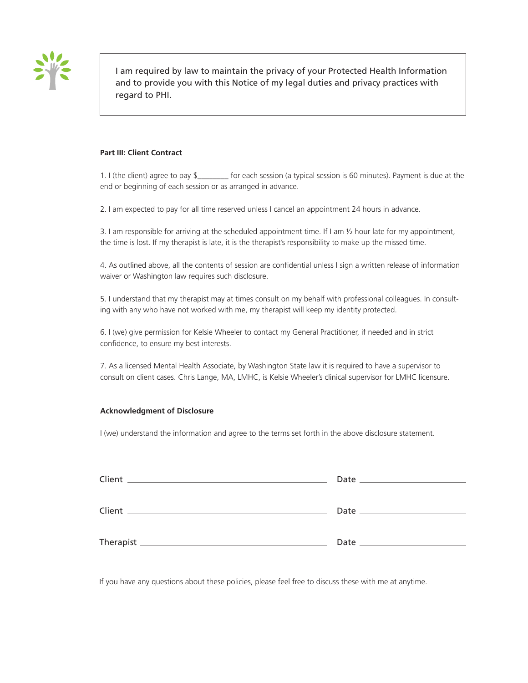

I am required by law to maintain the privacy of your Protected Health Information and to provide you with this Notice of my legal duties and privacy practices with regard to PHI.

### **Part III: Client Contract**

1. I (the client) agree to pay \$\_\_\_\_\_\_\_\_ for each session (a typical session is 60 minutes). Payment is due at the end or beginning of each session or as arranged in advance.

2. I am expected to pay for all time reserved unless I cancel an appointment 24 hours in advance.

3. I am responsible for arriving at the scheduled appointment time. If I am  $\frac{1}{2}$  hour late for my appointment, the time is lost. If my therapist is late, it is the therapist's responsibility to make up the missed time.

4. As outlined above, all the contents of session are confidential unless I sign a written release of information waiver or Washington law requires such disclosure.

5. I understand that my therapist may at times consult on my behalf with professional colleagues. In consulting with any who have not worked with me, my therapist will keep my identity protected.

6. I (we) give permission for Kelsie Wheeler to contact my General Practitioner, if needed and in strict confidence, to ensure my best interests.

7. As a licensed Mental Health Associate, by Washington State law it is required to have a supervisor to consult on client cases. Chris Lange, MA, LMHC, is Kelsie Wheeler's clinical supervisor for LMHC licensure.

### **Acknowledgment of Disclosure**

I (we) understand the information and agree to the terms set forth in the above disclosure statement.

| Client<br>and the control of the control of the control of the control of the control of the control of the control of the | Date<br><u> 1999 - John Stein, Amerikaansk politiker (</u> |
|----------------------------------------------------------------------------------------------------------------------------|------------------------------------------------------------|
| Client                                                                                                                     |                                                            |
|                                                                                                                            | Date                                                       |

If you have any questions about these policies, please feel free to discuss these with me at anytime.